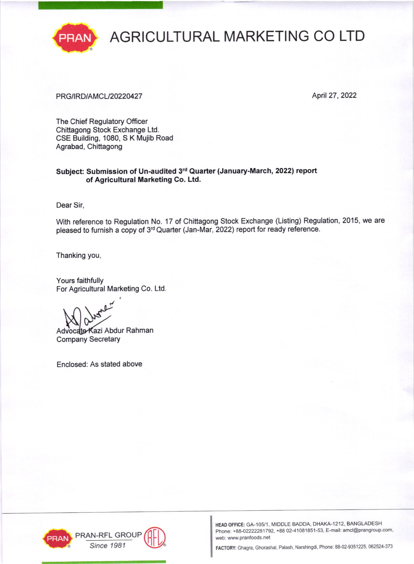

# PRAN AGRICULTURAL MARKETING CO LTD

### PRG/IRD/AMCL/20220427 April 27, 2022

The Chief Regulatory Officer Chittagong Stock Exchange Ltd. CSE Building, 1080, S K Mujib Road Agrabad, Chittagong

#### Subject: Submission of Un-audited 3rd Quarter (January-March, 2022) report of Agricultural Marketing Co. Ltd.

Dear Sir,

With reference to Regulation No. 17 of Chittagong Stock Exchange (Listing) Regulation, 2015, we are pleased to furnish a copy of 3<sup>rd</sup> Quarter (Jan-Mar, 2022) report for ready reference.

Thanking you,

Yours faithfully For Agricultural Marketing Co. Ltd.

Advocate Kazi Abdur Rahman Company Secretary

Enclosed: As stated above





HEAD OFFICE: GA-105/1, MIDDLE BADDA, DHAKA-1212, BANGLADESH Phone: +88-02222281792, +88 02-41081851-53, E-mail: amcl@prangroup.com, web: www.pranfoods.net

Since 1981 **MILLIST FACTORY:** Ghagra, Ghorashal, Palash, Narshingdi, Phone: 88-02-9351225, 062524-373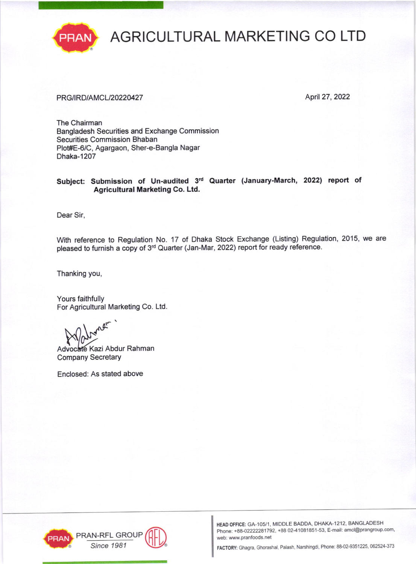

# AGRICULTURAL MARKETING CO LTD

### PRG/IRD/AMCL/20220427 April 27, 2022

The Chairman Bangladesh Securities and Exchange Commission Securities Commission Bhaban Plot#E-6/C, Agargaon, Sher-e-Bangla Nagar Dhaka-1207

#### Subject: Submission of Un-audited 3rd Quarter (January-March, 2022) report of Agricultural Marketing Co. Ltd.

Dear Sir,

With reference to Regulation No. 17 of Dhaka Stock Exchange (Listing) Regulation, 2015, we are pleased to furnish a copy of 3<sup>rd</sup> Quarter (Jan-Mar, 2022) report for ready reference.

Thanking you,

Yours faithfully For Agricultural Marketing Co. Ltd

Advocate Kazi Abdur Rahman Company Secretary

Enclosed: As stated above





HEAD OFFICE: GA-105/1, MIDDLE BADDA, DHAKA-1212, BANGLADESH Phone: +88-02222281792, +88 02-41081851-53, E-mail: amcl@prangroup.com, web: www.pranfoods.net

Since 1981 MUV® FACTORY: Ghagra, Ghorashal, Palash, Narshingdi, Phone: 88-02-9351225, 062524-373